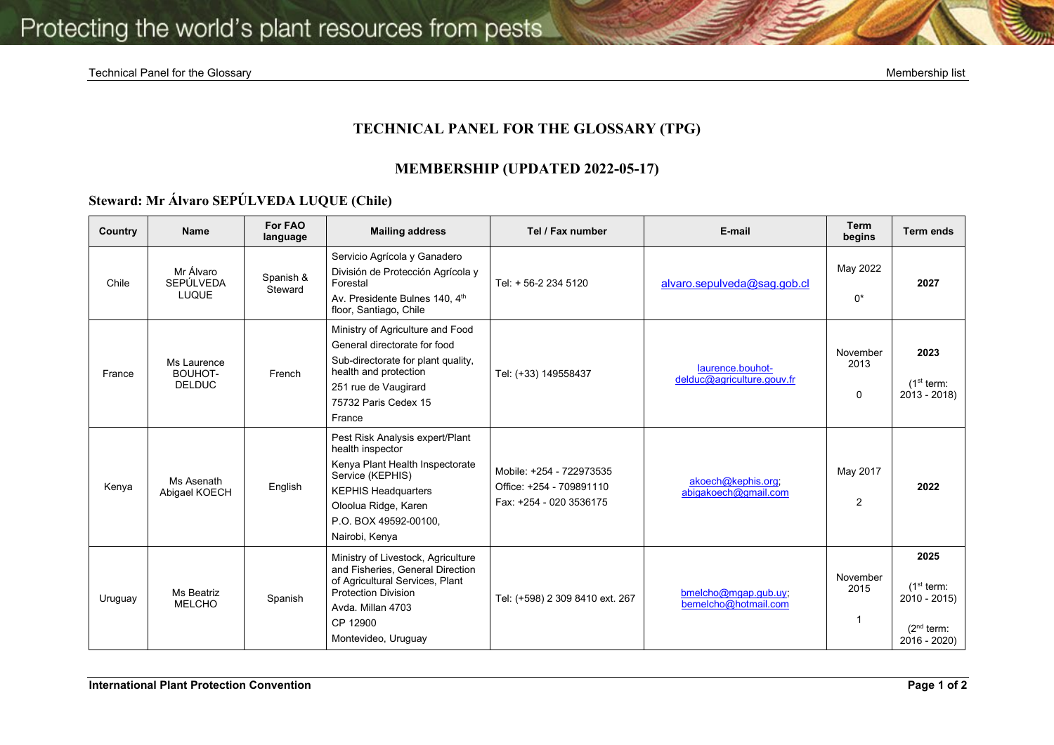## **TECHNICAL PANEL FOR THE GLOSSARY (TPG)**

## **MEMBERSHIP (UPDATED 2022-05-17)**

## **Steward: Mr Álvaro SEPÚLVEDA LUQUE (Chile)**

| Country | <b>Name</b>                                   | For FAO<br>language  | <b>Mailing address</b>                                                                                                                                                                                      | Tel / Fax number                                                                | E-mail                                         | <b>Term</b><br>begins        | <b>Term ends</b>                                                                           |
|---------|-----------------------------------------------|----------------------|-------------------------------------------------------------------------------------------------------------------------------------------------------------------------------------------------------------|---------------------------------------------------------------------------------|------------------------------------------------|------------------------------|--------------------------------------------------------------------------------------------|
| Chile   | Mr Álvaro<br><b>SEPÚLVEDA</b><br><b>LUQUE</b> | Spanish &<br>Steward | Servicio Agrícola y Ganadero<br>División de Protección Agrícola y<br>Forestal<br>Av. Presidente Bulnes 140, 4th<br>floor, Santiago, Chile                                                                   | Tel: + 56-2 234 5120                                                            | alvaro.sepulveda@sag.gob.cl                    | May 2022<br>$0^*$            | 2027                                                                                       |
| France  | Ms Laurence<br>BOUHOT-<br><b>DELDUC</b>       | French               | Ministry of Agriculture and Food<br>General directorate for food<br>Sub-directorate for plant quality,<br>health and protection<br>251 rue de Vaugirard<br>75732 Paris Cedex 15<br>France                   | Tel: (+33) 149558437                                                            | laurence.bouhot-<br>delduc@agriculture.gouv.fr | November<br>2013<br>$\Omega$ | 2023<br>(1 <sup>st</sup> term:<br>$2013 - 2018$                                            |
| Kenya   | Ms Asenath<br>Abigael KOECH                   | English              | Pest Risk Analysis expert/Plant<br>health inspector<br>Kenya Plant Health Inspectorate<br>Service (KEPHIS)<br><b>KEPHIS Headquarters</b><br>Oloolua Ridge, Karen<br>P.O. BOX 49592-00100,<br>Nairobi, Kenya | Mobile: +254 - 722973535<br>Office: +254 - 709891110<br>Fax: +254 - 020 3536175 | akoech@kephis.org;<br>abigakoech@gmail.com     | May 2017<br>$\overline{2}$   | 2022                                                                                       |
| Uruguay | Ms Beatriz<br><b>MELCHO</b>                   | Spanish              | Ministry of Livestock, Agriculture<br>and Fisheries, General Direction<br>of Agricultural Services, Plant<br><b>Protection Division</b><br>Avda, Millan 4703<br>CP 12900<br>Montevideo, Uruguay             | Tel: (+598) 2 309 8410 ext. 267                                                 | bmelcho@mgap.gub.uy;<br>bemelcho@hotmail.com   | November<br>2015             | 2025<br>(1 <sup>st</sup> term:<br>$2010 - 2015$<br>(2 <sup>nd</sup> term:<br>$2016 - 2020$ |